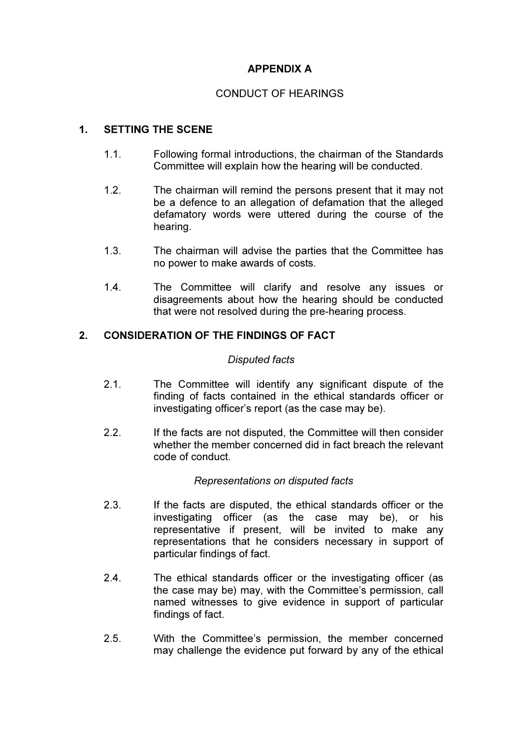## APPENDIX A

## CONDUCT OF HEARINGS

## 1. SETTING THE SCENE

- 1.1. Following formal introductions, the chairman of the Standards Committee will explain how the hearing will be conducted.
- 1.2. The chairman will remind the persons present that it may not be a defence to an allegation of defamation that the alleged defamatory words were uttered during the course of the hearing.
- 1.3. The chairman will advise the parties that the Committee has no power to make awards of costs.
- 1.4. The Committee will clarify and resolve any issues or disagreements about how the hearing should be conducted that were not resolved during the pre-hearing process.

## 2. CONSIDERATION OF THE FINDINGS OF FACT

#### Disputed facts

- 2.1. The Committee will identify any significant dispute of the finding of facts contained in the ethical standards officer or investigating officer's report (as the case may be).
- 2.2. If the facts are not disputed, the Committee will then consider whether the member concerned did in fact breach the relevant code of conduct.

### Representations on disputed facts

- 2.3. If the facts are disputed, the ethical standards officer or the investigating officer (as the case may be), or his representative if present, will be invited to make any representations that he considers necessary in support of particular findings of fact.
- 2.4. The ethical standards officer or the investigating officer (as the case may be) may, with the Committee's permission, call named witnesses to give evidence in support of particular findings of fact.
- 2.5. With the Committee's permission, the member concerned may challenge the evidence put forward by any of the ethical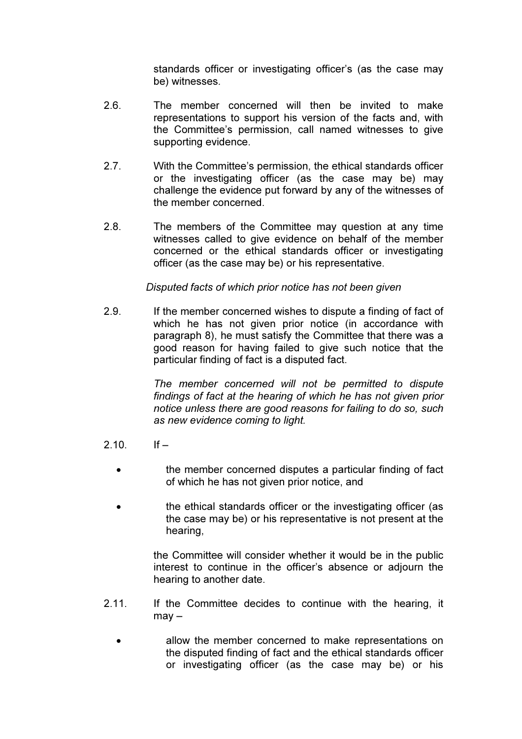standards officer or investigating officer's (as the case may be) witnesses.

- 2.6. The member concerned will then be invited to make representations to support his version of the facts and, with the Committee's permission, call named witnesses to give supporting evidence.
- 2.7. With the Committee's permission, the ethical standards officer or the investigating officer (as the case may be) may challenge the evidence put forward by any of the witnesses of the member concerned.
- 2.8. The members of the Committee may question at any time witnesses called to give evidence on behalf of the member concerned or the ethical standards officer or investigating officer (as the case may be) or his representative.

### Disputed facts of which prior notice has not been given

2.9. If the member concerned wishes to dispute a finding of fact of which he has not given prior notice (in accordance with paragraph 8), he must satisfy the Committee that there was a good reason for having failed to give such notice that the particular finding of fact is a disputed fact.

> The member concerned will not be permitted to dispute findings of fact at the hearing of which he has not given prior notice unless there are good reasons for failing to do so, such as new evidence coming to light.

- $2.10$  If  $-$ 
	- the member concerned disputes a particular finding of fact of which he has not given prior notice, and
	- the ethical standards officer or the investigating officer (as the case may be) or his representative is not present at the hearing,

the Committee will consider whether it would be in the public interest to continue in the officer's absence or adjourn the hearing to another date.

- 2.11. If the Committee decides to continue with the hearing, it may –
	- allow the member concerned to make representations on the disputed finding of fact and the ethical standards officer or investigating officer (as the case may be) or his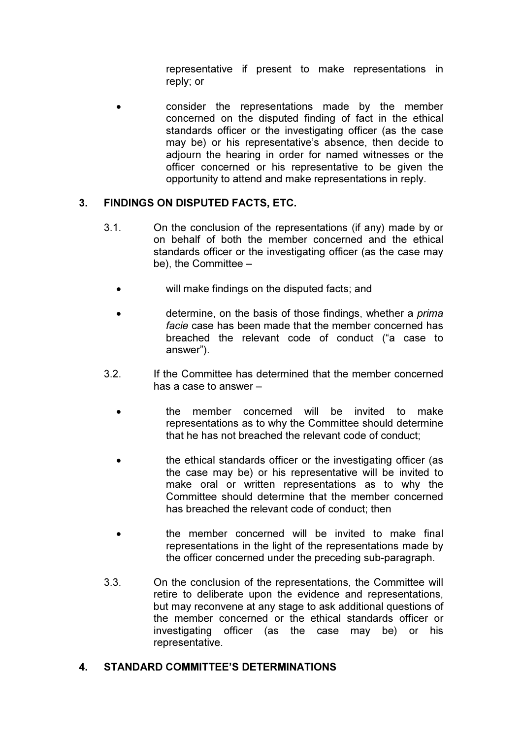representative if present to make representations in reply; or

• consider the representations made by the member concerned on the disputed finding of fact in the ethical standards officer or the investigating officer (as the case may be) or his representative's absence, then decide to adjourn the hearing in order for named witnesses or the officer concerned or his representative to be given the opportunity to attend and make representations in reply.

# 3. FINDINGS ON DISPUTED FACTS, ETC.

- 3.1. On the conclusion of the representations (if any) made by or on behalf of both the member concerned and the ethical standards officer or the investigating officer (as the case may be), the Committee –
	- will make findings on the disputed facts; and
	- determine, on the basis of those findings, whether a *prima* facie case has been made that the member concerned has breached the relevant code of conduct ("a case to answer").
- 3.2. If the Committee has determined that the member concerned has a case to answer –
	- the member concerned will be invited to make representations as to why the Committee should determine that he has not breached the relevant code of conduct;
	- the ethical standards officer or the investigating officer (as the case may be) or his representative will be invited to make oral or written representations as to why the Committee should determine that the member concerned has breached the relevant code of conduct; then
	- the member concerned will be invited to make final representations in the light of the representations made by the officer concerned under the preceding sub-paragraph.
- 3.3. On the conclusion of the representations, the Committee will retire to deliberate upon the evidence and representations, but may reconvene at any stage to ask additional questions of the member concerned or the ethical standards officer or investigating officer (as the case may be) or his representative.

## 4. STANDARD COMMITTEE'S DETERMINATIONS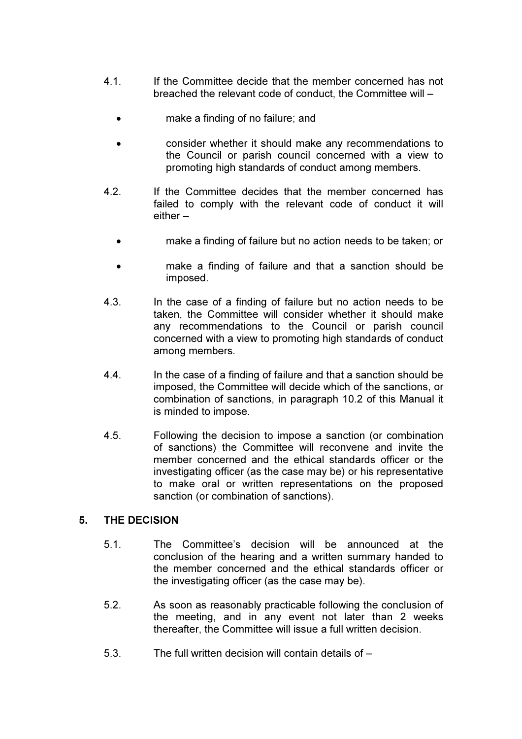- 4.1. If the Committee decide that the member concerned has not breached the relevant code of conduct, the Committee will –
	- make a finding of no failure; and
	- consider whether it should make any recommendations to the Council or parish council concerned with a view to promoting high standards of conduct among members.
- 4.2. If the Committee decides that the member concerned has failed to comply with the relevant code of conduct it will either –
	- make a finding of failure but no action needs to be taken; or
	- make a finding of failure and that a sanction should be imposed.
- 4.3. In the case of a finding of failure but no action needs to be taken, the Committee will consider whether it should make any recommendations to the Council or parish council concerned with a view to promoting high standards of conduct among members.
- 4.4. In the case of a finding of failure and that a sanction should be imposed, the Committee will decide which of the sanctions, or combination of sanctions, in paragraph 10.2 of this Manual it is minded to impose.
- 4.5. Following the decision to impose a sanction (or combination of sanctions) the Committee will reconvene and invite the member concerned and the ethical standards officer or the investigating officer (as the case may be) or his representative to make oral or written representations on the proposed sanction (or combination of sanctions).

### 5. THE DECISION

- 5.1. The Committee's decision will be announced at the conclusion of the hearing and a written summary handed to the member concerned and the ethical standards officer or the investigating officer (as the case may be).
- 5.2. As soon as reasonably practicable following the conclusion of the meeting, and in any event not later than 2 weeks thereafter, the Committee will issue a full written decision.
- 5.3. The full written decision will contain details of –